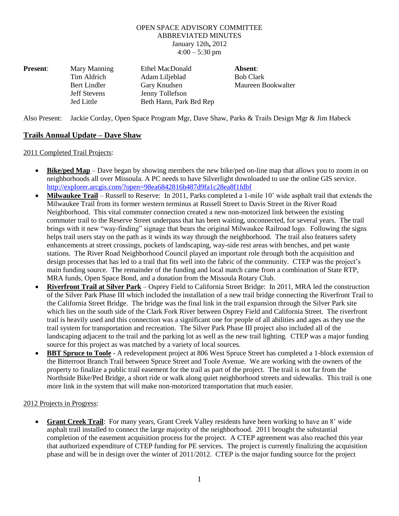## OPEN SPACE ADVISORY COMMITTEE ABBREVIATED MINUTES January 12th**,** 2012  $4:00 - 5:30$  pm

| Mary Manning        | Ethel MacDonald         | Absent:            |
|---------------------|-------------------------|--------------------|
| Tim Aldrich         | Adam Liljeblad          | <b>Bob Clark</b>   |
| Bert Lindler        | Gary Knudsen            | Maureen Bookwalter |
| <b>Jeff Stevens</b> | Jenny Tollefson         |                    |
| Jed Little          | Beth Hann, Park Brd Rep |                    |
|                     |                         |                    |

Also Present: Jackie Corday, Open Space Program Mgr, Dave Shaw, Parks & Trails Design Mgr & Jim Habeck

## **Trails Annual Update – Dave Shaw**

2011 Completed Trail Projects:

- **Bike/ped Map** Dave began by showing members the new bike/ped on-line map that allows you to zoom in on neighborhoods all over Missoula. A PC needs to have Silverlight downloaded to use the online GIS service. <http://explorer.arcgis.com/?open=98ea6842816b487d9fa1c28ea8f1fdbf>
- **Milwaukee Trail** Russell to Reserve: In 2011, Parks completed a 1-mile 10' wide asphalt trail that extends the Milwaukee Trail from its former western terminus at Russell Street to Davis Street in the River Road Neighborhood. This vital commuter connection created a new non-motorized link between the existing commuter trail to the Reserve Street underpass that has been waiting, unconnected, for several years. The trail brings with it new "way-finding" signage that bears the original Milwaukee Railroad logo. Following the signs helps trail users stay on the path as it winds its way through the neighborhood. The trail also features safety enhancements at street crossings, pockets of landscaping, way-side rest areas with benches, and pet waste stations. The River Road Neighborhood Council played an important role through both the acquisition and design processes that has led to a trail that fits well into the fabric of the community. CTEP was the project's main funding source. The remainder of the funding and local match came from a combination of State RTP, MRA funds, Open Space Bond, and a donation from the Missoula Rotary Club.
- **Riverfront Trail at Silver Park** Osprey Field to California Street Bridge: In 2011, MRA led the construction of the Silver Park Phase III which included the installation of a new trail bridge connecting the Riverfront Trail to the California Street Bridge. The bridge was the final link in the trail expansion through the Silver Park site which lies on the south side of the Clark Fork River between Osprey Field and California Street. The riverfront trail is heavily used and this connection was a significant one for people of all abilities and ages as they use the trail system for transportation and recreation. The Silver Park Phase III project also included all of the landscaping adjacent to the trail and the parking lot as well as the new trail lighting. CTEP was a major funding source for this project as was matched by a variety of local sources.
- **BBT Spruce to Toole** A redevelopment project at 806 West Spruce Street has completed a 1-block extension of the Bitterroot Branch Trail between Spruce Street and Toole Avenue. We are working with the owners of the property to finalize a public trail easement for the trail as part of the project. The trail is not far from the Northside Bike/Ped Bridge, a short ride or walk along quiet neighborhood streets and sidewalks. This trail is one more link in the system that will make non-motorized transportation that much easier.

## 2012 Projects in Progress:

 **Grant Creek Trail**: For many years, Grant Creek Valley residents have been working to have an 8' wide asphalt trail installed to connect the large majority of the neighborhood. 2011 brought the substantial completion of the easement acquisition process for the project. A CTEP agreement was also reached this year that authorized expenditure of CTEP funding for PE services. The project is currently finalizing the acquisition phase and will be in design over the winter of 2011/2012. CTEP is the major funding source for the project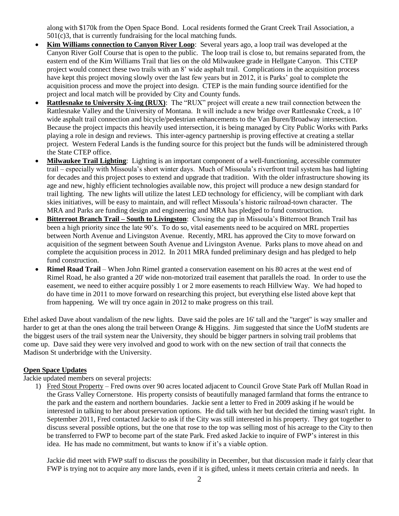along with \$170k from the Open Space Bond. Local residents formed the Grant Creek Trail Association, a 501(c)3, that is currently fundraising for the local matching funds.

- **Kim Williams connection to Canyon River Loop**: Several years ago, a loop trail was developed at the Canyon River Golf Course that is open to the public. The loop trail is close to, but remains separated from, the eastern end of the Kim Williams Trail that lies on the old Milwaukee grade in Hellgate Canyon. This CTEP project would connect these two trails with an 8' wide asphalt trail. Complications in the acquisition process have kept this project moving slowly over the last few years but in 2012, it is Parks' goal to complete the acquisition process and move the project into design. CTEP is the main funding source identified for the project and local match will be provided by City and County funds.
- **Rattlesnake to University X-ing (RUX):** The "RUX" project will create a new trail connection between the Rattlesnake Valley and the University of Montana. It will include a new bridge over Rattlesnake Creek, a 10' wide asphalt trail connection and bicycle/pedestrian enhancements to the Van Buren/Broadway intersection. Because the project impacts this heavily used intersection, it is being managed by City Public Works with Parks playing a role in design and reviews. This inter-agency partnership is proving effective at creating a stellar project. Western Federal Lands is the funding source for this project but the funds will be administered through the State CTEP office.
- **Milwaukee Trail Lighting**: Lighting is an important component of a well-functioning, accessible commuter trail – especially with Missoula's short winter days. Much of Missoula's riverfront trail system has had lighting for decades and this project poses to extend and upgrade that tradition. With the older infrastructure showing its age and new, highly efficient technologies available now, this project will produce a new design standard for trail lighting. The new lights will utilize the latest LED technology for efficiency, will be compliant with dark skies initiatives, will be easy to maintain, and will reflect Missoula's historic railroad-town character. The MRA and Parks are funding design and engineering and MRA has pledged to fund construction.
- **Bitterroot Branch Trail – South to Livingston**: Closing the gap in Missoula's Bitterroot Branch Trail has been a high priority since the late 90's. To do so, vital easements need to be acquired on MRL properties between North Avenue and Livingston Avenue. Recently, MRL has approved the City to move forward on acquisition of the segment between South Avenue and Livingston Avenue. Parks plans to move ahead on and complete the acquisition process in 2012. In 2011 MRA funded preliminary design and has pledged to help fund construction.
- **Rimel Road Trail** When John Rimel granted a conservation easement on his 80 acres at the west end of Rimel Road, he also granted a 20' wide non-motorized trail easement that parallels the road. In order to use the easement, we need to either acquire possibly 1 or 2 more easements to reach Hillview Way. We had hoped to do have time in 2011 to move forward on researching this project, but everything else listed above kept that from happening. We will try once again in 2012 to make progress on this trail.

Ethel asked Dave about vandalism of the new lights. Dave said the poles are 16' tall and the "target" is way smaller and harder to get at than the ones along the trail between Orange & Higgins. Jim suggested that since the UofM students are the biggest users of the trail system near the University, they should be bigger partners in solving trail problems that come up. Dave said they were very involved and good to work with on the new section of trail that connects the Madison St underbridge with the University.

## **Open Space Updates**

Jackie updated members on several projects:

1) Fred Stout Property – Fred owns over 90 acres located adjacent to Council Grove State Park off Mullan Road in the Grass Valley Cornerstone. His property consists of beautifully managed farmland that forms the entrance to the park and the eastern and northern boundaries. Jackie sent a letter to Fred in 2009 asking if he would be interested in talking to her about preservation options. He did talk with her but decided the timing wasn't right. In September 2011, Fred contacted Jackie to ask if the City was still interested in his property. They got together to discuss several possible options, but the one that rose to the top was selling most of his acreage to the City to then be transferred to FWP to become part of the state Park. Fred asked Jackie to inquire of FWP's interest in this idea. He has made no commitment, but wants to know if it's a viable option.

Jackie did meet with FWP staff to discuss the possibility in December, but that discussion made it fairly clear that FWP is trying not to acquire any more lands, even if it is gifted, unless it meets certain criteria and needs. In